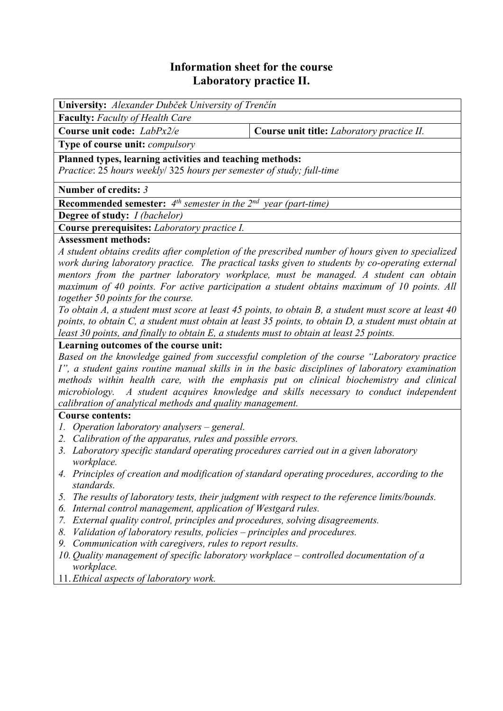# **Information sheet for the course Laboratory practice II.**

**University:** *Alexander Dubček University of Trenčín*  **Faculty:** *Faculty of Health Care*  **Course unit code:** *LabPx2/e* **Course unit title:** *Laboratory practice II.* **Type of course unit:** *compulsory*  **Planned types, learning activities and teaching methods:**  *Practice*: 25 *hours weekly*/ 325 *hours per semester of study; full-time* **Number of credits:** *3* **Recommended semester:** *4th semester in the 2nd year (part-time)*  **Degree of study:** *I (bachelor)*  **Course prerequisites:** *Laboratory practice I.* **Assessment methods:**  *A student obtains credits after completion of the prescribed number of hours given to specialized work during laboratory practice. The practical tasks given to students by co-operating external* 

*mentors from the partner laboratory workplace, must be managed. A student can obtain maximum of 40 points. For active participation a student obtains maximum of 10 points. All together 50 points for the course.* 

*To obtain A, a student must score at least 45 points, to obtain B, a student must score at least 40 points, to obtain C, a student must obtain at least 35 points, to obtain D, a student must obtain at least 30 points, and finally to obtain E, a students must to obtain at least 25 points.*

### **Learning outcomes of the course unit:**

*Based on the knowledge gained from successful completion of the course "Laboratory practice I", a student gains routine manual skills in in the basic disciplines of laboratory examination methods within health care, with the emphasis put on clinical biochemistry and clinical microbiology. A student acquires knowledge and skills necessary to conduct independent calibration of analytical methods and quality management.* 

## **Course contents:**

- *1. Operation laboratory analysers general.*
- *2. Calibration of the apparatus, rules and possible errors.*
- *3. Laboratory specific standard operating procedures carried out in a given laboratory workplace.*
- *4. Principles of creation and modification of standard operating procedures, according to the standards.*
- *5. The results of laboratory tests, their judgment with respect to the reference limits/bounds.*
- *6. Internal control management, application of Westgard rules.*
- *7. External quality control, principles and procedures, solving disagreements.*
- *8. Validation of laboratory results, policies principles and procedures.*
- *9. Communication with caregivers, rules to report results.*
- *10. Quality management of specific laboratory workplace controlled documentation of a workplace.*
- 11. *Ethical aspects of laboratory work.*